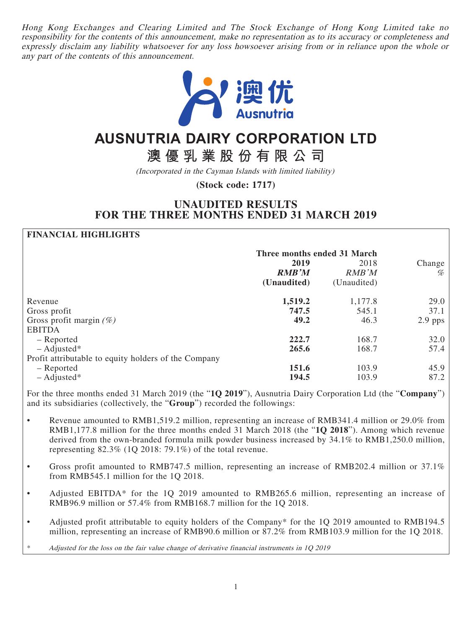Hong Kong Exchanges and Clearing Limited and The Stock Exchange of Hong Kong Limited take no responsibility for the contents of this announcement, make no representation as to its accuracy or completeness and expressly disclaim any liability whatsoever for any loss howsoever arising from or in reliance upon the whole or any part of the contents of this announcement.



# **AUSNUTRIA DAIRY CORPORATION LTD**

**澳優乳業股份有限公司**

(Incorporated in the Cayman Islands with limited liability)

**(Stock code: 1717)**

# **UNAUDITED RESULTS FOR THE THREE MONTHS ENDED 31 MARCH 2019**

#### **FINANCIAL HIGHLIGHTS**

|                                                      | Three months ended 31 March |               |             |
|------------------------------------------------------|-----------------------------|---------------|-------------|
|                                                      | 2019<br><b>RMB'M</b>        | 2018<br>RMB'M | Change<br>% |
|                                                      | (Unaudited)                 | (Unaudited)   |             |
| Revenue                                              | 1,519.2                     | 1,177.8       | 29.0        |
| Gross profit                                         | 747.5                       | 545.1         | 37.1        |
| Gross profit margin $(\%)$                           | 49.2                        | 46.3          | $2.9$ pps   |
| <b>EBITDA</b>                                        |                             |               |             |
| – Reported                                           | 222.7                       | 168.7         | 32.0        |
| $-$ Adjusted*                                        | 265.6                       | 168.7         | 57.4        |
| Profit attributable to equity holders of the Company |                             |               |             |
| - Reported                                           | 151.6                       | 103.9         | 45.9        |
| $-$ Adjusted*                                        | 194.5                       | 103.9         | 87.2        |

For the three months ended 31 March 2019 (the "**1Q 2019**"), Ausnutria Dairy Corporation Ltd (the "**Company**") and its subsidiaries (collectively, the "**Group**") recorded the followings:

- Revenue amounted to RMB1,519.2 million, representing an increase of RMB341.4 million or 29.0% from RMB1,177.8 million for the three months ended 31 March 2018 (the "**1Q 2018**"). Among which revenue derived from the own-branded formula milk powder business increased by 34.1% to RMB1,250.0 million, representing 82.3% (1Q 2018: 79.1%) of the total revenue.
- Gross profit amounted to RMB747.5 million, representing an increase of RMB202.4 million or 37.1% from RMB545.1 million for the 1Q 2018.
- Adjusted EBITDA\* for the 1Q 2019 amounted to RMB265.6 million, representing an increase of RMB96.9 million or 57.4% from RMB168.7 million for the 1Q 2018.
- Adjusted profit attributable to equity holders of the Company\* for the 1Q 2019 amounted to RMB194.5 million, representing an increase of RMB90.6 million or 87.2% from RMB103.9 million for the 1Q 2018.

Adjusted for the loss on the fair value change of derivative financial instruments in 1Q 2019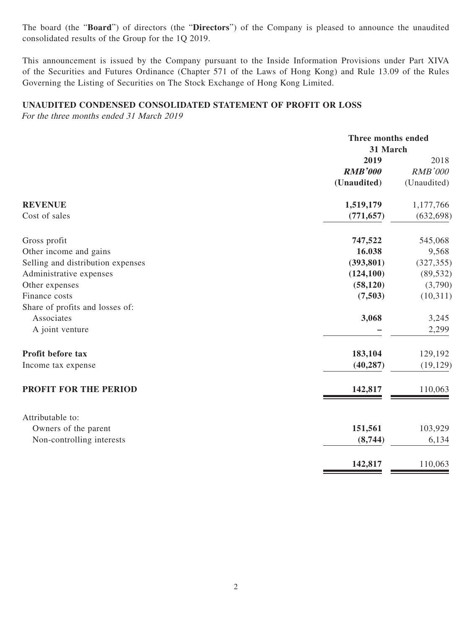The board (the "**Board**") of directors (the "**Directors**") of the Company is pleased to announce the unaudited consolidated results of the Group for the 1Q 2019.

This announcement is issued by the Company pursuant to the Inside Information Provisions under Part XIVA of the Securities and Futures Ordinance (Chapter 571 of the Laws of Hong Kong) and Rule 13.09 of the Rules Governing the Listing of Securities on The Stock Exchange of Hong Kong Limited.

#### **UNAUDITED CONDENSED CONSOLIDATED STATEMENT OF PROFIT OR LOSS**

For the three months ended 31 March 2019

|                                   |                | Three months ended |  |
|-----------------------------------|----------------|--------------------|--|
|                                   | 31 March       |                    |  |
|                                   | 2019           | 2018               |  |
|                                   | <b>RMB'000</b> | <b>RMB'000</b>     |  |
|                                   | (Unaudited)    | (Unaudited)        |  |
| <b>REVENUE</b>                    | 1,519,179      | 1,177,766          |  |
| Cost of sales                     | (771, 657)     | (632, 698)         |  |
| Gross profit                      | 747,522        | 545,068            |  |
| Other income and gains            | 16.038         | 9,568              |  |
| Selling and distribution expenses | (393, 801)     | (327, 355)         |  |
| Administrative expenses           | (124, 100)     | (89, 532)          |  |
| Other expenses                    | (58, 120)      | (3,790)            |  |
| Finance costs                     | (7,503)        | (10,311)           |  |
| Share of profits and losses of:   |                |                    |  |
| Associates                        | 3,068          | 3,245              |  |
| A joint venture                   |                | 2,299              |  |
| Profit before tax                 | 183,104        | 129,192            |  |
| Income tax expense                | (40, 287)      | (19, 129)          |  |
| PROFIT FOR THE PERIOD             | 142,817        | 110,063            |  |
|                                   |                |                    |  |
| Attributable to:                  |                |                    |  |
| Owners of the parent              | 151,561        | 103,929            |  |
| Non-controlling interests         | (8,744)        | 6,134              |  |
|                                   | 142,817        | 110,063            |  |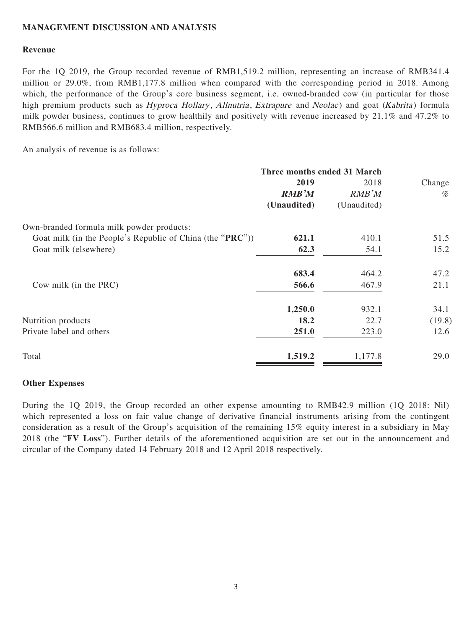#### **MANAGEMENT DISCUSSION AND ANALYSIS**

#### **Revenue**

For the 1Q 2019, the Group recorded revenue of RMB1,519.2 million, representing an increase of RMB341.4 million or 29.0%, from RMB1,177.8 million when compared with the corresponding period in 2018. Among which, the performance of the Group's core business segment, i.e. owned-branded cow (in particular for those high premium products such as *Hyproca Hollary, Allnutria, Extrapure* and *Neolac*) and goat (*Kabrita*) formula milk powder business, continues to grow healthily and positively with revenue increased by 21.1% and 47.2% to RMB566.6 million and RMB683.4 million, respectively.

An analysis of revenue is as follows:

| Three months ended 31 March |                                                           |        |
|-----------------------------|-----------------------------------------------------------|--------|
| 2019                        | 2018                                                      | Change |
| <b>RMB'M</b>                | RMB'M                                                     | $\%$   |
| (Unaudited)                 | (Unaudited)                                               |        |
|                             |                                                           |        |
| 621.1                       | 410.1                                                     | 51.5   |
| 62.3                        | 54.1                                                      | 15.2   |
| 683.4                       | 464.2                                                     | 47.2   |
| 566.6                       | 467.9                                                     | 21.1   |
| 1,250.0                     | 932.1                                                     | 34.1   |
| 18.2                        | 22.7                                                      | (19.8) |
| 251.0                       | 223.0                                                     | 12.6   |
| 1,519.2                     | 1,177.8                                                   | 29.0   |
|                             | Goat milk (in the People's Republic of China (the "PRC")) |        |

#### **Other Expenses**

During the 1Q 2019, the Group recorded an other expense amounting to RMB42.9 million (1Q 2018: Nil) which represented a loss on fair value change of derivative financial instruments arising from the contingent consideration as a result of the Group's acquisition of the remaining 15% equity interest in a subsidiary in May 2018 (the "**FV Loss**"). Further details of the aforementioned acquisition are set out in the announcement and circular of the Company dated 14 February 2018 and 12 April 2018 respectively.